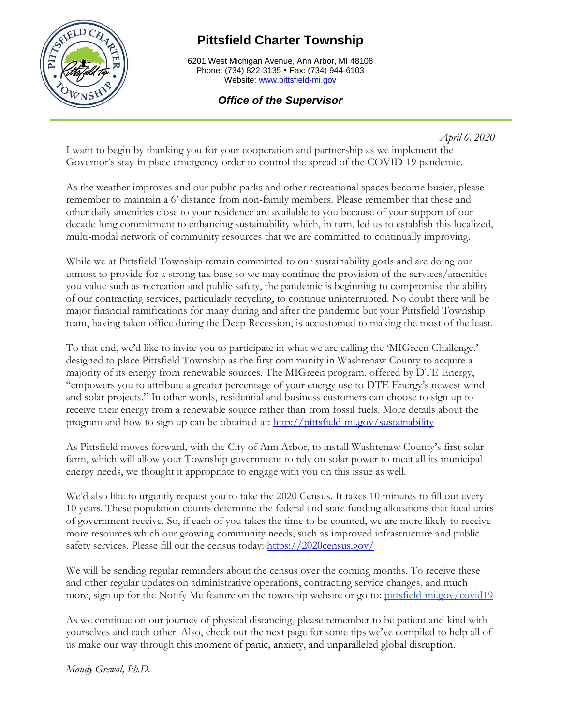

# **Pittsfield Charter Township**

6201 West Michigan Avenue, Ann Arbor, MI 48108 Phone: (734) 822-3135 • Fax: (734) 944-6103 Website[: www.pittsfield-mi.gov](http://www.pittsfield-mi.gov/)

# *Office of the Supervisor*

*April 6, 2020*

I want to begin by thanking you for your cooperation and partnership as we implement the Governor's stay-in-place emergency order to control the spread of the COVID-19 pandemic.

As the weather improves and our public parks and other recreational spaces become busier, please remember to maintain a 6' distance from non-family members. Please remember that these and other daily amenities close to your residence are available to you because of your support of our decade-long commitment to enhancing sustainability which, in turn, led us to establish this localized, multi-modal network of community resources that we are committed to continually improving.

While we at Pittsfield Township remain committed to our sustainability goals and are doing our utmost to provide for a strong tax base so we may continue the provision of the services/amenities you value such as recreation and public safety, the pandemic is beginning to compromise the ability of our contracting services, particularly recycling, to continue uninterrupted. No doubt there will be major financial ramifications for many during and after the pandemic but your Pittsfield Township team, having taken office during the Deep Recession, is accustomed to making the most of the least.

To that end, we'd like to invite you to participate in what we are calling the 'MIGreen Challenge.' designed to place Pittsfield Township as the first community in Washtenaw County to acquire a majority of its energy from renewable sources. The MIGreen program, offered by DTE Energy, "empowers you to attribute a greater percentage of your energy use to DTE Energy's newest wind and solar projects." In other words, residential and business customers can choose to sign up to receive their energy from a renewable source rather than from fossil fuels. More details about the program and how to sign up can be obtained at: <http://pittsfield-mi.gov/sustainability>

As Pittsfield moves forward, with the City of Ann Arbor, to install Washtenaw County's first solar farm, which will allow your Township government to rely on solar power to meet all its municipal energy needs, we thought it appropriate to engage with you on this issue as well.

We'd also like to urgently request you to take the 2020 Census. It takes 10 minutes to fill out every 10 years. These population counts determine the federal and state funding allocations that local units of government receive. So, if each of you takes the time to be counted, we are more likely to receive more resources which our growing community needs, such as improved infrastructure and public safety services. Please fill out the census today: <https://2020census.gov/>

We will be sending regular reminders about the census over the coming months. To receive these and other regular updates on administrative operations, contracting service changes, and much more, sign up for the Notify Me feature on the township website or go to: [pittsfield-mi.gov/covid19](http://pittsfield-mi.gov/covid19)

As we continue on our journey of physical distancing, please remember to be patient and kind with yourselves and each other. Also, check out the next page for some tips we've compiled to help all of us make our way through this moment of panic, anxiety, and unparalleled global disruption.

*Mandy Grewal, Ph.D.*